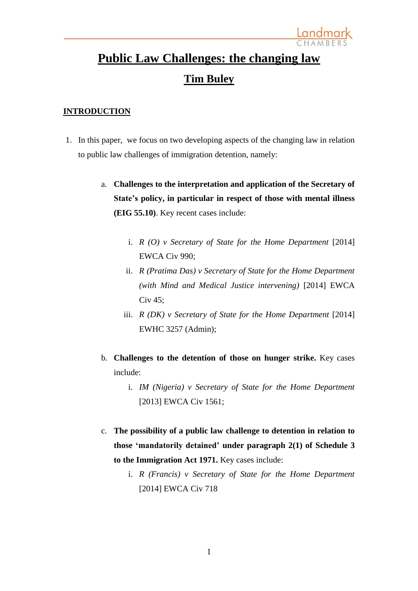# **Public Law Challenges: the changing law Tim Buley**

### **INTRODUCTION**

- 1. In this paper, we focus on two developing aspects of the changing law in relation to public law challenges of immigration detention, namely:
	- a. **Challenges to the interpretation and application of the Secretary of State's policy, in particular in respect of those with mental illness (EIG 55.10)**. Key recent cases include:
		- i. *R (O) v Secretary of State for the Home Department* [2014] EWCA Civ 990;
		- ii. *R (Pratima Das) v Secretary of State for the Home Department (with Mind and Medical Justice intervening)* [2014] EWCA Civ 45;
		- iii. *R (DK) v Secretary of State for the Home Department* [2014] EWHC 3257 (Admin);
	- b. **Challenges to the detention of those on hunger strike.** Key cases include:
		- i. *IM (Nigeria) v Secretary of State for the Home Department* [2013] EWCA Civ 1561;
	- c. **The possibility of a public law challenge to detention in relation to those 'mandatorily detained' under paragraph 2(1) of Schedule 3 to the Immigration Act 1971.** Key cases include:
		- i. *R (Francis) v Secretary of State for the Home Department* [2014] EWCA Civ 718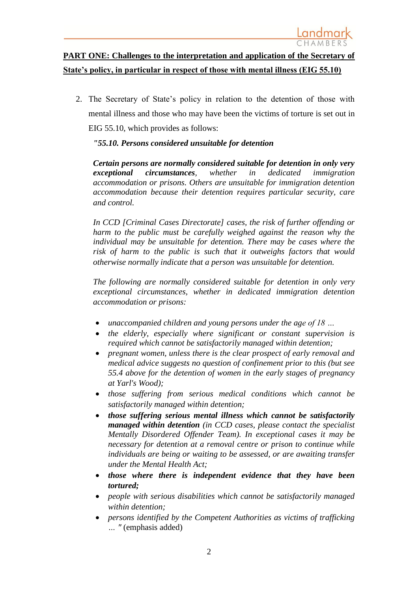# **PART ONE: Challenges to the interpretation and application of the Secretary of State's policy, in particular in respect of those with mental illness (EIG 55.10)**

2. The Secretary of State's policy in relation to the detention of those with mental illness and those who may have been the victims of torture is set out in EIG 55.10, which provides as follows:

### *"55.10. Persons considered unsuitable for detention*

*Certain persons are normally considered suitable for detention in only very exceptional circumstances, whether in dedicated immigration accommodation or prisons. Others are unsuitable for immigration detention accommodation because their detention requires particular security, care and control.*

*In CCD [Criminal Cases Directorate] cases, the risk of further offending or harm to the public must be carefully weighed against the reason why the individual may be unsuitable for detention. There may be cases where the risk of harm to the public is such that it outweighs factors that would otherwise normally indicate that a person was unsuitable for detention.*

*The following are normally considered suitable for detention in only very exceptional circumstances, whether in dedicated immigration detention accommodation or prisons:*

- *unaccompanied children and young persons under the age of 18 …*
- *the elderly, especially where significant or constant supervision is required which cannot be satisfactorily managed within detention;*
- *pregnant women, unless there is the clear prospect of early removal and medical advice suggests no question of confinement prior to this (but see 55.4 above for the detention of women in the early stages of pregnancy at Yarl's Wood);*
- *those suffering from serious medical conditions which cannot be satisfactorily managed within detention;*
- *those suffering serious mental illness which cannot be satisfactorily managed within detention (in CCD cases, please contact the specialist Mentally Disordered Offender Team). In exceptional cases it may be necessary for detention at a removal centre or prison to continue while individuals are being or waiting to be assessed, or are awaiting transfer under the Mental Health Act;*
- *those where there is independent evidence that they have been tortured;*
- *people with serious disabilities which cannot be satisfactorily managed within detention;*
- *persons identified by the Competent Authorities as victims of trafficking … "* (emphasis added)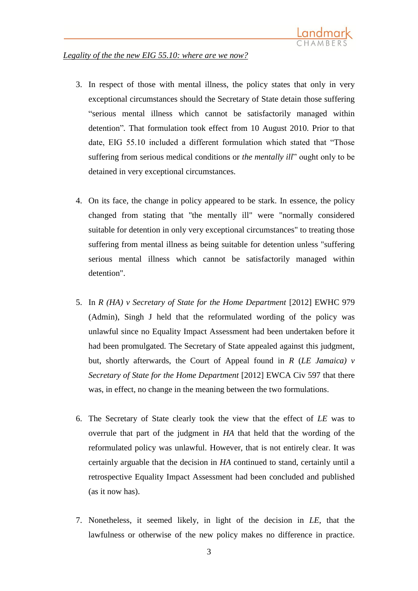### *Legality of the the new EIG 55.10: where are we now?*

- 3. In respect of those with mental illness, the policy states that only in very exceptional circumstances should the Secretary of State detain those suffering "serious mental illness which cannot be satisfactorily managed within detention"*.* That formulation took effect from 10 August 2010. Prior to that date, EIG 55.10 included a different formulation which stated that "Those suffering from serious medical conditions or *the mentally ill*" ought only to be detained in very exceptional circumstances.
- 4. On its face, the change in policy appeared to be stark. In essence, the policy changed from stating that "the mentally ill" were "normally considered suitable for detention in only very exceptional circumstances" to treating those suffering from mental illness as being suitable for detention unless "suffering serious mental illness which cannot be satisfactorily managed within detention".
- 5. In *R (HA) v Secretary of State for the Home Department* [2012] EWHC 979 (Admin), Singh J held that the reformulated wording of the policy was unlawful since no Equality Impact Assessment had been undertaken before it had been promulgated. The Secretary of State appealed against this judgment, but, shortly afterwards, the Court of Appeal found in *R* (*LE Jamaica) v Secretary of State for the Home Department* [2012] EWCA Civ 597 that there was, in effect, no change in the meaning between the two formulations.
- 6. The Secretary of State clearly took the view that the effect of *LE* was to overrule that part of the judgment in *HA* that held that the wording of the reformulated policy was unlawful. However, that is not entirely clear. It was certainly arguable that the decision in *HA* continued to stand, certainly until a retrospective Equality Impact Assessment had been concluded and published (as it now has).
- 7. Nonetheless, it seemed likely, in light of the decision in *LE*, that the lawfulness or otherwise of the new policy makes no difference in practice.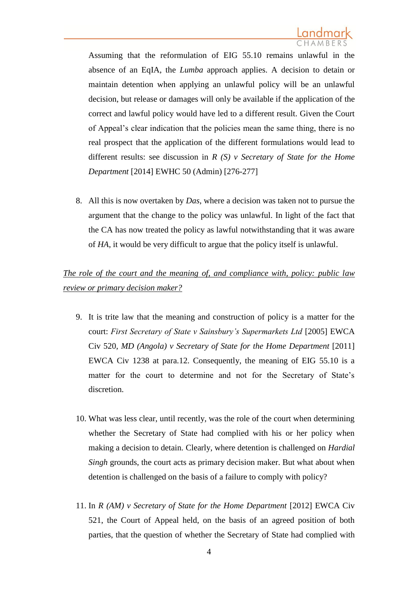Assuming that the reformulation of EIG 55.10 remains unlawful in the absence of an EqIA, the *Lumba* approach applies. A decision to detain or maintain detention when applying an unlawful policy will be an unlawful decision, but release or damages will only be available if the application of the correct and lawful policy would have led to a different result. Given the Court of Appeal's clear indication that the policies mean the same thing, there is no real prospect that the application of the different formulations would lead to different results: see discussion in *R (S) v Secretary of State for the Home Department* [2014] EWHC 50 (Admin) [276-277]

8. All this is now overtaken by *Das*, where a decision was taken not to pursue the argument that the change to the policy was unlawful. In light of the fact that the CA has now treated the policy as lawful notwithstanding that it was aware of *HA*, it would be very difficult to argue that the policy itself is unlawful.

## *The role of the court and the meaning of, and compliance with, policy: public law review or primary decision maker?*

- 9. It is trite law that the meaning and construction of policy is a matter for the court: *First Secretary of State v Sainsbury's Supermarkets Ltd* [2005] EWCA Civ 520, *MD (Angola) v Secretary of State for the Home Department* [2011] EWCA Civ 1238 at para.12. Consequently, the meaning of EIG 55.10 is a matter for the court to determine and not for the Secretary of State's discretion.
- 10. What was less clear, until recently, was the role of the court when determining whether the Secretary of State had complied with his or her policy when making a decision to detain. Clearly, where detention is challenged on *Hardial Singh* grounds, the court acts as primary decision maker. But what about when detention is challenged on the basis of a failure to comply with policy?
- 11. In *R (AM) v Secretary of State for the Home Department* [2012] EWCA Civ 521, the Court of Appeal held, on the basis of an agreed position of both parties, that the question of whether the Secretary of State had complied with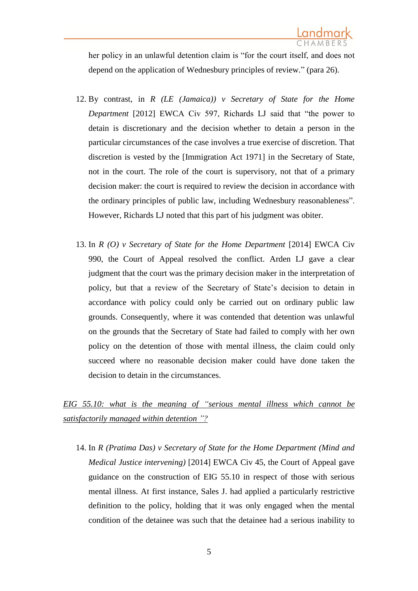her policy in an unlawful detention claim is "for the court itself, and does not depend on the application of Wednesbury principles of review." (para 26).

- 12. By contrast, in *R (LE (Jamaica)) v Secretary of State for the Home Department* [2012] EWCA Civ 597, Richards LJ said that "the power to detain is discretionary and the decision whether to detain a person in the particular circumstances of the case involves a true exercise of discretion. That discretion is vested by the [Immigration Act 1971] in the Secretary of State, not in the court. The role of the court is supervisory, not that of a primary decision maker: the court is required to review the decision in accordance with the ordinary principles of public law, including Wednesbury reasonableness". However, Richards LJ noted that this part of his judgment was obiter.
- 13. In *R (O) v Secretary of State for the Home Department* [2014] EWCA Civ 990, the Court of Appeal resolved the conflict. Arden LJ gave a clear judgment that the court was the primary decision maker in the interpretation of policy, but that a review of the Secretary of State's decision to detain in accordance with policy could only be carried out on ordinary public law grounds. Consequently, where it was contended that detention was unlawful on the grounds that the Secretary of State had failed to comply with her own policy on the detention of those with mental illness, the claim could only succeed where no reasonable decision maker could have done taken the decision to detain in the circumstances.

*EIG 55.10: what is the meaning of "serious mental illness which cannot be satisfactorily managed within detention "?*

14. In *R (Pratima Das) v Secretary of State for the Home Department (Mind and Medical Justice intervening)* [2014] EWCA Civ 45, the Court of Appeal gave guidance on the construction of EIG 55.10 in respect of those with serious mental illness. At first instance, Sales J. had applied a particularly restrictive definition to the policy, holding that it was only engaged when the mental condition of the detainee was such that the detainee had a serious inability to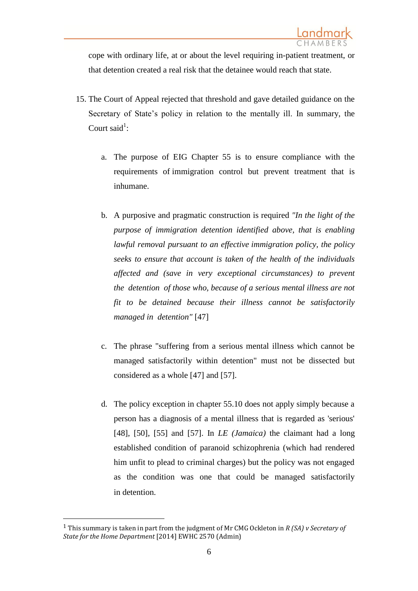cope with ordinary life, at or about the level requiring in-patient treatment, or that detention created a real risk that the detainee would reach that state.

- 15. The Court of Appeal rejected that threshold and gave detailed guidance on the Secretary of State's policy in relation to the mentally ill. In summary, the Court said<sup>1</sup>:
	- a. The purpose of EIG Chapter 55 is to ensure compliance with the requirements of immigration control but prevent treatment that is inhumane.
	- b. A purposive and pragmatic construction is required *"In the light of the purpose of immigration detention identified above, that is enabling lawful removal pursuant to an effective immigration policy, the policy seeks to ensure that account is taken of the health of the individuals affected and (save in very exceptional circumstances) to prevent the detention of those who, because of a serious mental illness are not fit to be detained because their illness cannot be satisfactorily managed in detention"* [47]
	- c. The phrase "suffering from a serious mental illness which cannot be managed satisfactorily within detention" must not be dissected but considered as a whole [47] and [57].
	- d. The policy exception in chapter 55.10 does not apply simply because a person has a diagnosis of a mental illness that is regarded as 'serious' [48], [50], [55] and [57]. In *LE (Jamaica)* the claimant had a long established condition of paranoid schizophrenia (which had rendered him unfit to plead to criminal charges) but the policy was not engaged as the condition was one that could be managed satisfactorily in detention.

 $\overline{\phantom{a}}$ 

<sup>1</sup> This summary is taken in part from the judgment of Mr CMG Ockleton in *R (SA) v Secretary of State for the Home Department* [2014] EWHC 2570 (Admin)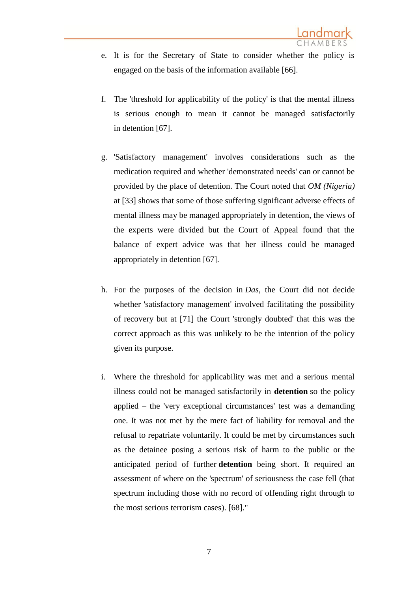- e. It is for the Secretary of State to consider whether the policy is engaged on the basis of the information available [66].
- f. The 'threshold for applicability of the policy' is that the mental illness is serious enough to mean it cannot be managed satisfactorily in detention [67].
- g. 'Satisfactory management' involves considerations such as the medication required and whether 'demonstrated needs' can or cannot be provided by the place of detention. The Court noted that *OM (Nigeria)* at [33] shows that some of those suffering significant adverse effects of mental illness may be managed appropriately in detention, the views of the experts were divided but the Court of Appeal found that the balance of expert advice was that her illness could be managed appropriately in detention [67].
- h. For the purposes of the decision in *Das*, the Court did not decide whether 'satisfactory management' involved facilitating the possibility of recovery but at [71] the Court 'strongly doubted' that this was the correct approach as this was unlikely to be the intention of the policy given its purpose.
- i. Where the threshold for applicability was met and a serious mental illness could not be managed satisfactorily in **detention** so the policy applied – the 'very exceptional circumstances' test was a demanding one. It was not met by the mere fact of liability for removal and the refusal to repatriate voluntarily. It could be met by circumstances such as the detainee posing a serious risk of harm to the public or the anticipated period of further **detention** being short. It required an assessment of where on the 'spectrum' of seriousness the case fell (that spectrum including those with no record of offending right through to the most serious terrorism cases). [68]."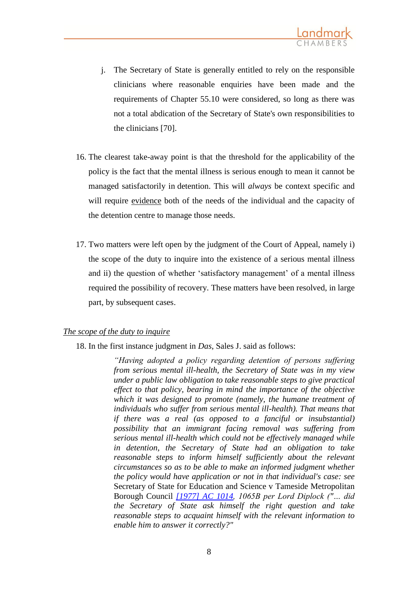- j. The Secretary of State is generally entitled to rely on the responsible clinicians where reasonable enquiries have been made and the requirements of Chapter 55.10 were considered, so long as there was not a total abdication of the Secretary of State's own responsibilities to the clinicians [70].
- 16. The clearest take-away point is that the threshold for the applicability of the policy is the fact that the mental illness is serious enough to mean it cannot be managed satisfactorily in detention. This will *always* be context specific and will require evidence both of the needs of the individual and the capacity of the detention centre to manage those needs.
- 17. Two matters were left open by the judgment of the Court of Appeal, namely i) the scope of the duty to inquire into the existence of a serious mental illness and ii) the question of whether 'satisfactory management' of a mental illness required the possibility of recovery. These matters have been resolved, in large part, by subsequent cases.

### *The scope of the duty to inquire*

18. In the first instance judgment in *Das*, Sales J. said as follows:

*"Having adopted a policy regarding detention of persons suffering from serious mental ill-health, the Secretary of State was in my view under a public law obligation to take reasonable steps to give practical effect to that policy, bearing in mind the importance of the objective which it was designed to promote (namely, the humane treatment of individuals who suffer from serious mental ill-health). That means that if there was a real (as opposed to a fanciful or insubstantial) possibility that an immigrant facing removal was suffering from serious mental ill-health which could not be effectively managed while in detention, the Secretary of State had an obligation to take reasonable steps to inform himself sufficiently about the relevant circumstances so as to be able to make an informed judgment whether the policy would have application or not in that individual's case: see*  Secretary of State for Education and Science v Tameside Metropolitan Borough Council *[\[1977\] AC 1014,](http://www.bailii.org/cgi-bin/redirect.cgi?path=/uk/cases/UKHL/1976/6.html) 1065B per Lord Diplock ("… did the Secretary of State ask himself the right question and take reasonable steps to acquaint himself with the relevant information to enable him to answer it correctly?"*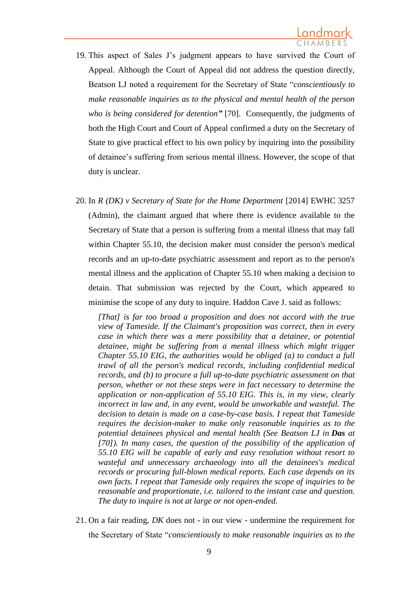- 19. This aspect of Sales J's judgment appears to have survived the Court of Appeal. Although the Court of Appeal did not address the question directly, Beatson LJ noted a requirement for the Secretary of State "*conscientiously to make reasonable inquiries as to the physical and mental health of the person who is being considered for detention"* [70]. Consequently, the judgments of both the High Court and Court of Appeal confirmed a duty on the Secretary of State to give practical effect to his own policy by inquiring into the possibility of detainee's suffering from serious mental illness. However, the scope of that duty is unclear.
- 20. In *R (DK) v Secretary of State for the Home Department* [2014] EWHC 3257 (Admin), the claimant argued that where there is evidence available to the Secretary of State that a person is suffering from a mental illness that may fall within Chapter 55.10, the decision maker must consider the person's medical records and an up-to-date psychiatric assessment and report as to the person's mental illness and the application of Chapter 55.10 when making a decision to detain. That submission was rejected by the Court, which appeared to minimise the scope of any duty to inquire. Haddon Cave J. said as follows:

*[That] is far too broad a proposition and does not accord with the true view of Tameside. If the Claimant's proposition was correct, then in every case in which there was a mere possibility that a detainee, or potential detainee, might be suffering from a mental illness which might trigger Chapter 55.10 EIG, the authorities would be obliged (a) to conduct a full trawl of all the person's medical records, including confidential medical records, and (b) to procure a full up-to-date psychiatric assessment on that person, whether or not these steps were in fact necessary to determine the application or non-application of 55.10 EIG. This is, in my view, clearly incorrect in law and, in any event, would be unworkable and wasteful. The decision to detain is made on a case-by-case basis. I repeat that Tameside requires the decision-maker to make only reasonable inquiries as to the potential detainees physical and mental health (See Beatson LJ in Das at [70]). In many cases, the question of the possibility of the application of 55.10 EIG will be capable of early and easy resolution without resort to wasteful and unnecessary archaeology into all the detainees's medical records or procuring full-blown medical reports. Each case depends on its own facts. I repeat that Tameside only requires the scope of inquiries to be reasonable and proportionate, i.e. tailored to the instant case and question. The duty to inquire is not at large or not open-ended.*

21. On a fair reading, *DK* does not - in our view - undermine the requirement for the Secretary of State "*conscientiously to make reasonable inquiries as to the*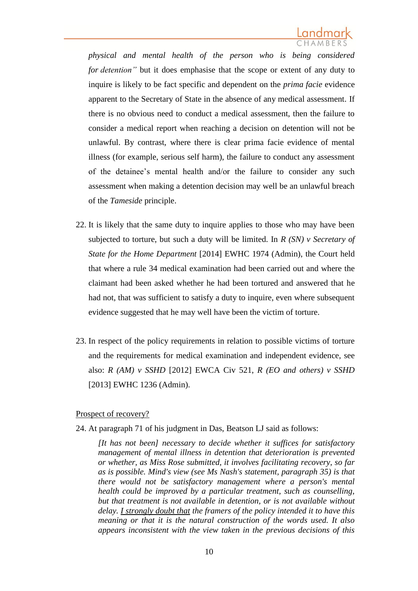*physical and mental health of the person who is being considered for detention"* but it does emphasise that the scope or extent of any duty to inquire is likely to be fact specific and dependent on the *prima facie* evidence apparent to the Secretary of State in the absence of any medical assessment. If there is no obvious need to conduct a medical assessment, then the failure to consider a medical report when reaching a decision on detention will not be unlawful. By contrast, where there is clear prima facie evidence of mental illness (for example, serious self harm), the failure to conduct any assessment of the detainee's mental health and/or the failure to consider any such assessment when making a detention decision may well be an unlawful breach of the *Tameside* principle.

- 22. It is likely that the same duty to inquire applies to those who may have been subjected to torture, but such a duty will be limited. In *R (SN) v Secretary of State for the Home Department* [2014] EWHC 1974 (Admin), the Court held that where a rule 34 medical examination had been carried out and where the claimant had been asked whether he had been tortured and answered that he had not, that was sufficient to satisfy a duty to inquire, even where subsequent evidence suggested that he may well have been the victim of torture.
- 23. In respect of the policy requirements in relation to possible victims of torture and the requirements for medical examination and independent evidence, see also: *R (AM) v SSHD* [2012] EWCA Civ 521, *R (EO and others) v SSHD* [2013] EWHC 1236 (Admin).

### Prospect of recovery?

24. At paragraph 71 of his judgment in Das, Beatson LJ said as follows:

*[It has not been] necessary to decide whether it suffices for satisfactory management of mental illness in detention that deterioration is prevented or whether, as Miss Rose submitted, it involves facilitating recovery, so far as is possible. Mind's view (see Ms Nash's statement, paragraph 35) is that there would not be satisfactory management where a person's mental health could be improved by a particular treatment, such as counselling, but that treatment is not available in detention, or is not available without delay. I strongly doubt that the framers of the policy intended it to have this meaning or that it is the natural construction of the words used. It also appears inconsistent with the view taken in the previous decisions of this*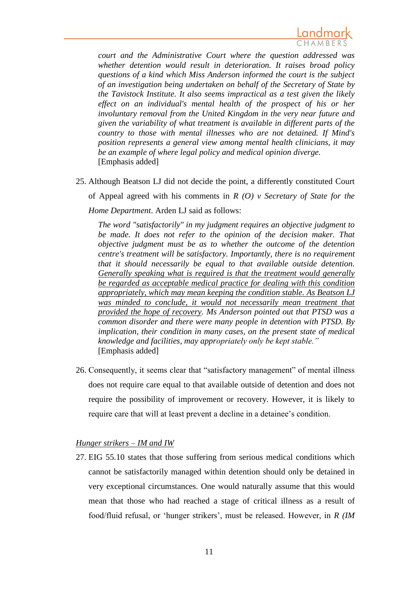

*court and the Administrative Court where the question addressed was whether detention would result in deterioration. It raises broad policy questions of a kind which Miss Anderson informed the court is the subject of an investigation being undertaken on behalf of the Secretary of State by the Tavistock Institute. It also seems impractical as a test given the likely effect on an individual's mental health of the prospect of his or her involuntary removal from the United Kingdom in the very near future and given the variability of what treatment is available in different parts of the country to those with mental illnesses who are not detained. If Mind's position represents a general view among mental health clinicians, it may be an example of where legal policy and medical opinion diverge.* [Emphasis added]

25. Although Beatson LJ did not decide the point, a differently constituted Court of Appeal agreed with his comments in *R (O) v Secretary of State for the Home Department*. Arden LJ said as follows:

*The word "satisfactorily" in my judgment requires an objective judgment to be made. It does not refer to the opinion of the decision maker. That objective judgment must be as to whether the outcome of the detention centre's treatment will be satisfactory. Importantly, there is no requirement that it should necessarily be equal to that available outside detention. Generally speaking what is required is that the treatment would generally be regarded as acceptable medical practice for dealing with this condition appropriately, which may mean keeping the condition stable. As Beatson LJ was minded to conclude, it would not necessarily mean treatment that provided the hope of recovery. Ms Anderson pointed out that PTSD was a common disorder and there were many people in detention with PTSD. By implication, their condition in many cases, on the present state of medical knowledge and facilities, may appropriately only be kept stable."* [Emphasis added]

26. Consequently, it seems clear that "satisfactory management" of mental illness does not require care equal to that available outside of detention and does not require the possibility of improvement or recovery. However, it is likely to require care that will at least prevent a decline in a detainee's condition.

### *Hunger strikers – IM and IW*

27. EIG 55.10 states that those suffering from serious medical conditions which cannot be satisfactorily managed within detention should only be detained in very exceptional circumstances. One would naturally assume that this would mean that those who had reached a stage of critical illness as a result of food/fluid refusal, or 'hunger strikers', must be released. However, in *R (IM*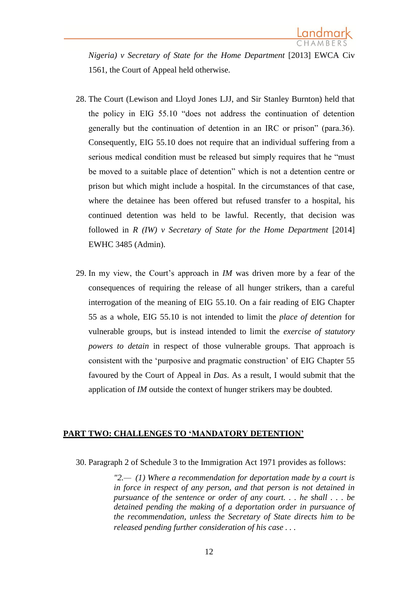*Nigeria) v Secretary of State for the Home Department* [2013] EWCA Civ 1561, the Court of Appeal held otherwise.

- 28. The Court (Lewison and Lloyd Jones LJJ, and Sir Stanley Burnton) held that the policy in EIG 55.10 "does not address the continuation of detention generally but the continuation of detention in an IRC or prison" (para.36). Consequently, EIG 55.10 does not require that an individual suffering from a serious medical condition must be released but simply requires that he "must be moved to a suitable place of detention" which is not a detention centre or prison but which might include a hospital. In the circumstances of that case, where the detainee has been offered but refused transfer to a hospital, his continued detention was held to be lawful. Recently, that decision was followed in *R (IW) v Secretary of State for the Home Department* [2014] EWHC 3485 (Admin).
- 29. In my view, the Court's approach in *IM* was driven more by a fear of the consequences of requiring the release of all hunger strikers, than a careful interrogation of the meaning of EIG 55.10. On a fair reading of EIG Chapter 55 as a whole, EIG 55.10 is not intended to limit the *place of detention* for vulnerable groups, but is instead intended to limit the *exercise of statutory powers to detain* in respect of those vulnerable groups. That approach is consistent with the 'purposive and pragmatic construction' of EIG Chapter 55 favoured by the Court of Appeal in *Das*. As a result, I would submit that the application of *IM* outside the context of hunger strikers may be doubted.

### **PART TWO: CHALLENGES TO 'MANDATORY DETENTION'**

30. Paragraph 2 of Schedule 3 to the Immigration Act 1971 provides as follows:

*"2.— (1) Where a recommendation for deportation made by a court is in force in respect of any person, and that person is not detained in pursuance of the sentence or order of any court. . . he shall . . . be detained pending the making of a deportation order in pursuance of the recommendation, unless the Secretary of State directs him to be released pending further consideration of his case . . .*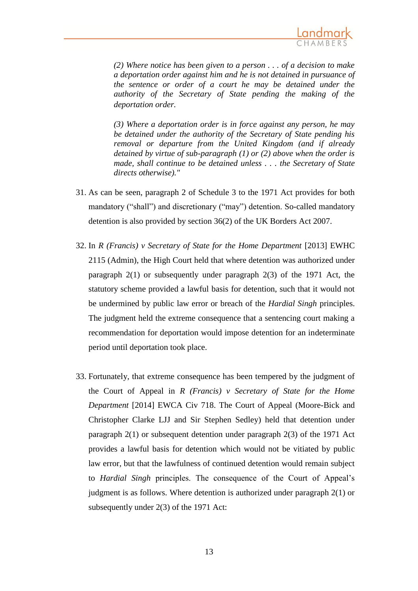

*(2) Where notice has been given to a person . . . of a decision to make a deportation order against him and he is not detained in pursuance of the sentence or order of a court he may be detained under the authority of the Secretary of State pending the making of the deportation order.*

*(3) Where a deportation order is in force against any person, he may be detained under the authority of the Secretary of State pending his removal or departure from the United Kingdom (and if already detained by virtue of sub-paragraph (1) or (2) above when the order is made, shall continue to be detained unless . . . the Secretary of State directs otherwise)."*

- 31. As can be seen, paragraph 2 of Schedule 3 to the 1971 Act provides for both mandatory ("shall") and discretionary ("may") detention. So-called mandatory detention is also provided by section 36(2) of the UK Borders Act 2007.
- 32. In *R (Francis) v Secretary of State for the Home Department* [2013] EWHC 2115 (Admin), the High Court held that where detention was authorized under paragraph 2(1) or subsequently under paragraph 2(3) of the 1971 Act, the statutory scheme provided a lawful basis for detention, such that it would not be undermined by public law error or breach of the *Hardial Singh* principles. The judgment held the extreme consequence that a sentencing court making a recommendation for deportation would impose detention for an indeterminate period until deportation took place.
- 33. Fortunately, that extreme consequence has been tempered by the judgment of the Court of Appeal in *R (Francis) v Secretary of State for the Home Department* [2014] EWCA Civ 718. The Court of Appeal (Moore-Bick and Christopher Clarke LJJ and Sir Stephen Sedley) held that detention under paragraph 2(1) or subsequent detention under paragraph 2(3) of the 1971 Act provides a lawful basis for detention which would not be vitiated by public law error, but that the lawfulness of continued detention would remain subject to *Hardial Singh* principles. The consequence of the Court of Appeal's judgment is as follows. Where detention is authorized under paragraph 2(1) or subsequently under 2(3) of the 1971 Act: